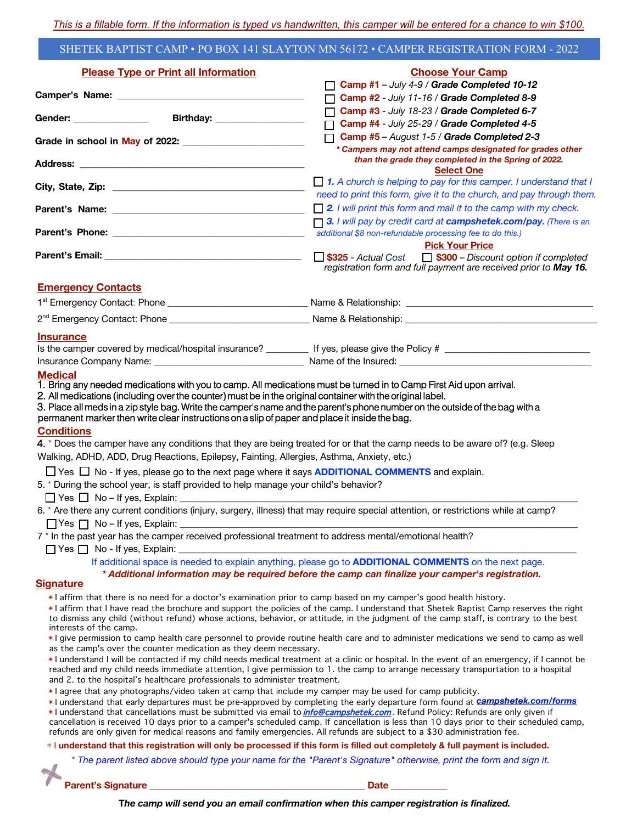## SHETEK BAPTIST CAMP • PO BOX 141 SLAYTON MN 56172 • CAMPER REGISTRATION FORM - 2022

| <b>Please Type or Print all Information</b>                                                                                                                                                                                                                                                                                                                                                                                                                                                                                                                                                                                  | <b>Choose Your Camp</b>                                                                                                                                                                                                                                                                                                                                                                                                                                                                                                                                                                                                                                                                                        |
|------------------------------------------------------------------------------------------------------------------------------------------------------------------------------------------------------------------------------------------------------------------------------------------------------------------------------------------------------------------------------------------------------------------------------------------------------------------------------------------------------------------------------------------------------------------------------------------------------------------------------|----------------------------------------------------------------------------------------------------------------------------------------------------------------------------------------------------------------------------------------------------------------------------------------------------------------------------------------------------------------------------------------------------------------------------------------------------------------------------------------------------------------------------------------------------------------------------------------------------------------------------------------------------------------------------------------------------------------|
|                                                                                                                                                                                                                                                                                                                                                                                                                                                                                                                                                                                                                              | Camp #1 - July 4-9 / Grade Completed 10-12                                                                                                                                                                                                                                                                                                                                                                                                                                                                                                                                                                                                                                                                     |
|                                                                                                                                                                                                                                                                                                                                                                                                                                                                                                                                                                                                                              | Camp #2 - July 11-16 / Grade Completed 8-9                                                                                                                                                                                                                                                                                                                                                                                                                                                                                                                                                                                                                                                                     |
|                                                                                                                                                                                                                                                                                                                                                                                                                                                                                                                                                                                                                              | Camp #3 - July 18-23 / Grade Completed 6-7                                                                                                                                                                                                                                                                                                                                                                                                                                                                                                                                                                                                                                                                     |
|                                                                                                                                                                                                                                                                                                                                                                                                                                                                                                                                                                                                                              | Camp #4 - July 25-29 / Grade Completed 4-5                                                                                                                                                                                                                                                                                                                                                                                                                                                                                                                                                                                                                                                                     |
|                                                                                                                                                                                                                                                                                                                                                                                                                                                                                                                                                                                                                              | Camp #5 - August 1-5 / Grade Completed 2-3<br>* Campers may not attend camps designated for grades other                                                                                                                                                                                                                                                                                                                                                                                                                                                                                                                                                                                                       |
|                                                                                                                                                                                                                                                                                                                                                                                                                                                                                                                                                                                                                              | than the grade they completed in the Spring of 2022.<br><b>Select One</b>                                                                                                                                                                                                                                                                                                                                                                                                                                                                                                                                                                                                                                      |
|                                                                                                                                                                                                                                                                                                                                                                                                                                                                                                                                                                                                                              | $\Box$ 1. A church is helping to pay for this camper. I understand that I<br>need to print this form, give it to the church, and pay through them.                                                                                                                                                                                                                                                                                                                                                                                                                                                                                                                                                             |
|                                                                                                                                                                                                                                                                                                                                                                                                                                                                                                                                                                                                                              | $\Box$ 2. I will print this form and mail it to the camp with my check.                                                                                                                                                                                                                                                                                                                                                                                                                                                                                                                                                                                                                                        |
|                                                                                                                                                                                                                                                                                                                                                                                                                                                                                                                                                                                                                              | <b>3.</b> I will pay by credit card at <b>campshetek.com/pay.</b> (There is an<br>additional \$8 non-refundable processing fee to do this.)                                                                                                                                                                                                                                                                                                                                                                                                                                                                                                                                                                    |
|                                                                                                                                                                                                                                                                                                                                                                                                                                                                                                                                                                                                                              | <b>Pick Your Price</b>                                                                                                                                                                                                                                                                                                                                                                                                                                                                                                                                                                                                                                                                                         |
|                                                                                                                                                                                                                                                                                                                                                                                                                                                                                                                                                                                                                              | S325 - Actual Cost<br><b>S300</b> – Discount option if completed<br>registration form and full payment are received prior to May 16.                                                                                                                                                                                                                                                                                                                                                                                                                                                                                                                                                                           |
| <b>Emergency Contacts</b>                                                                                                                                                                                                                                                                                                                                                                                                                                                                                                                                                                                                    |                                                                                                                                                                                                                                                                                                                                                                                                                                                                                                                                                                                                                                                                                                                |
|                                                                                                                                                                                                                                                                                                                                                                                                                                                                                                                                                                                                                              |                                                                                                                                                                                                                                                                                                                                                                                                                                                                                                                                                                                                                                                                                                                |
|                                                                                                                                                                                                                                                                                                                                                                                                                                                                                                                                                                                                                              |                                                                                                                                                                                                                                                                                                                                                                                                                                                                                                                                                                                                                                                                                                                |
| <b>Insurance</b>                                                                                                                                                                                                                                                                                                                                                                                                                                                                                                                                                                                                             |                                                                                                                                                                                                                                                                                                                                                                                                                                                                                                                                                                                                                                                                                                                |
|                                                                                                                                                                                                                                                                                                                                                                                                                                                                                                                                                                                                                              |                                                                                                                                                                                                                                                                                                                                                                                                                                                                                                                                                                                                                                                                                                                |
|                                                                                                                                                                                                                                                                                                                                                                                                                                                                                                                                                                                                                              |                                                                                                                                                                                                                                                                                                                                                                                                                                                                                                                                                                                                                                                                                                                |
| permanent marker then write clear instructions on a slip of paper and place it inside the bag.<br><b>Conditions</b><br>Walking, ADHD, ADD, Drug Reactions, Epilepsy, Fainting, Allergies, Asthma, Anxiety, etc.)<br>$\Box$ Yes $\Box$ No - If yes, please go to the next page where it says <b>ADDITIONAL COMMENTS</b> and explain.<br>5. * During the school year, is staff provided to help manage your child's behavior?<br>$\Box$ Yes $\Box$ No - If yes, Explain:<br>7 * In the past year has the camper received professional treatment to address mental/emotional health?<br>$\Box$ Yes $\Box$ No - If yes, Explain: | 4. * Does the camper have any conditions that they are being treated for or that the camp needs to be aware of? (e.g. Sleep<br>6. * Are there any current conditions (injury, surgery, illness) that may require special attention, or restrictions while at camp?                                                                                                                                                                                                                                                                                                                                                                                                                                             |
|                                                                                                                                                                                                                                                                                                                                                                                                                                                                                                                                                                                                                              | If additional space is needed to explain anything, please go to <b>ADDITIONAL COMMENTS</b> on the next page.<br>* Additional information may be required before the camp can finalize your camper's registration.                                                                                                                                                                                                                                                                                                                                                                                                                                                                                              |
| <b>Signature</b><br>*I affirm that there is no need for a doctor's examination prior to camp based on my camper's good health history.<br>interests of the camp.<br>as the camp's over the counter medication as they deem necessary.<br>and 2. to the hospital's healthcare professionals to administer treatment.<br>*I agree that any photographs/video taken at camp that include my camper may be used for camp publicity.                                                                                                                                                                                              | *1 affirm that I have read the brochure and support the policies of the camp. I understand that Shetek Baptist Camp reserves the right<br>to dismiss any child (without refund) whose actions, behavior, or attitude, in the judgment of the camp staff, is contrary to the best<br>*I give permission to camp health care personnel to provide routine health care and to administer medications we send to camp as well<br>*I understand I will be contacted if my child needs medical treatment at a clinic or hospital. In the event of an emergency, if I cannot be<br>reached and my child needs immediate attention, I give permission to 1. the camp to arrange necessary transportation to a hospital |
| refunds are only given for medical reasons and family emergencies. All refunds are subject to a \$30 administration fee.                                                                                                                                                                                                                                                                                                                                                                                                                                                                                                     | *I understand that early departures must be pre-approved by completing the early departure form found at <i>Campshetek.com/forms</i><br>*I understand that cancellations must be submitted via email to <i>info@campshetek.com</i> . Refund Policy: Refunds are only given if<br>cancellation is received 10 days prior to a camper's scheduled camp. If cancellation is less than 10 days prior to their scheduled camp,                                                                                                                                                                                                                                                                                      |
|                                                                                                                                                                                                                                                                                                                                                                                                                                                                                                                                                                                                                              | * I understand that this registration will only be processed if this form is filled out completely & full payment is included.                                                                                                                                                                                                                                                                                                                                                                                                                                                                                                                                                                                 |
|                                                                                                                                                                                                                                                                                                                                                                                                                                                                                                                                                                                                                              | * The parent listed above should type your name for the "Parent's Signature" otherwise, print the form and sign it.                                                                                                                                                                                                                                                                                                                                                                                                                                                                                                                                                                                            |

**Parent's Signature \_\_\_\_\_\_\_\_\_\_\_\_\_\_\_\_\_\_\_\_\_\_\_\_\_\_\_\_\_\_\_\_\_\_\_\_\_\_\_\_\_\_\_\_\_\_ Date \_\_\_\_\_\_\_\_\_\_\_\_**